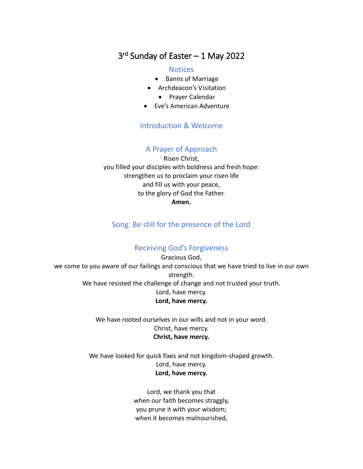# 3 rd Sunday of Easter – 1 May 2022

#### **Notices**

- Banns of Marriage
- Archdeacon's Visitation
	- Prayer Calendar
- Eve's American Adventure

### Introduction & Welcome

### A Prayer of Approach

Risen Christ, you filled your disciples with boldness and fresh hope: strengthen us to proclaim your risen life and fill us with your peace, to the glory of God the Father. **Amen.**

### Song: Be still for the presence of the Lord

#### Receiving God's Forgiveness

Gracious God, we come to you aware of our failings and conscious that we have tried to live in our own strength. We have resisted the challenge of change and not trusted your truth. Lord, have mercy. **Lord, have mercy.**

> We have rooted ourselves in our wills and not in your word. Christ, have mercy. **Christ, have mercy.**

We have looked for quick fixes and not kingdom-shaped growth. Lord, have mercy. **Lord, have mercy.**

> Lord, we thank you that when our faith becomes straggly, you prune it with your wisdom; when it becomes malnourished,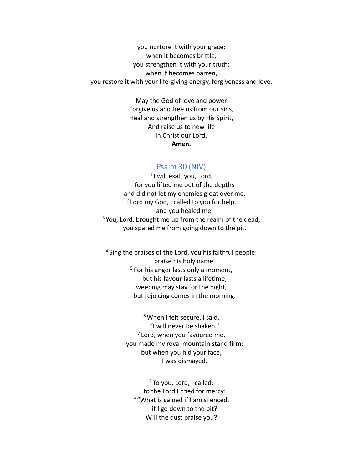you nurture it with your grace; when it becomes brittle, you strengthen it with your truth; when it becomes barren, you restore it with your life-giving energy, forgiveness and love.

> May the God of love and power Forgive us and free us from our sins, Heal and strengthen us by His Spirit, And raise us to new life in Christ our Lord. **Amen.**

#### Psalm 30 (NIV)

1 I will exalt you, Lord, for you lifted me out of the depths and did not let my enemies gloat over me. <sup>2</sup> Lord my God, I called to you for help, and you healed me.  $3$  You, Lord, brought me up from the realm of the dead; you spared me from going down to the pit.

<sup>4</sup> Sing the praises of the Lord, you his faithful people; praise his holy name. <sup>5</sup> For his anger lasts only a moment, but his favour lasts a lifetime; weeping may stay for the night, but rejoicing comes in the morning.

> <sup>6</sup> When I felt secure, I said, "I will never be shaken."  $7$  Lord, when you favoured me, you made my royal mountain stand firm; but when you hid your face, I was dismayed.

<sup>8</sup> To you, Lord, I called; to the Lord I cried for mercy: <sup>9</sup> "What is gained if I am silenced, if I go down to the pit? Will the dust praise you?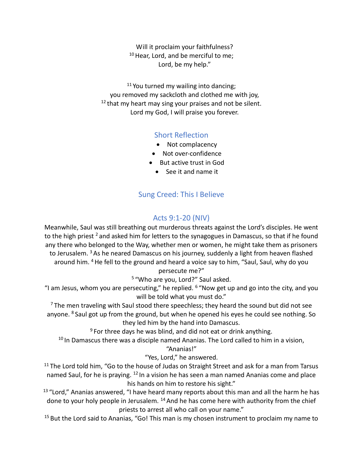Will it proclaim your faithfulness? <sup>10</sup> Hear, Lord, and be merciful to me; Lord, be my help."

<sup>11</sup> You turned my wailing into dancing; you removed my sackcloth and clothed me with joy, <sup>12</sup> that my heart may sing your praises and not be silent. Lord my God, I will praise you forever.

### Short Reflection

- Not complacency
- Not over-confidence
- But active trust in God
	- See it and name it

### Sung Creed: This I Believe

### Acts 9:1-20 (NIV)

Meanwhile, Saul was still breathing out murderous threats against the Lord's disciples. He went to the high priest  $2$  and asked him for letters to the synagogues in Damascus, so that if he found any there who belonged to the Way, whether men or women, he might take them as prisoners to Jerusalem.<sup>3</sup> As he neared Damascus on his journey, suddenly a light from heaven flashed around him. <sup>4</sup> He fell to the ground and heard a voice say to him, "Saul, Saul, why do you

#### persecute me?"

<sup>5</sup> "Who are you, Lord?" Saul asked.

"I am Jesus, whom you are persecuting," he replied.  $6$  "Now get up and go into the city, and you will be told what you must do."

 $7$  The men traveling with Saul stood there speechless; they heard the sound but did not see anyone.  $8$  Saul got up from the ground, but when he opened his eyes he could see nothing. So they led him by the hand into Damascus.

 $9$  For three days he was blind, and did not eat or drink anything.

<sup>10</sup> In Damascus there was a disciple named Ananias. The Lord called to him in a vision,

"Ananias!"

"Yes, Lord," he answered.

<sup>11</sup> The Lord told him, "Go to the house of Judas on Straight Street and ask for a man from Tarsus named Saul, for he is praying. <sup>12</sup> In a vision he has seen a man named Ananias come and place his hands on him to restore his sight."

 $13$  "Lord," Ananias answered, "I have heard many reports about this man and all the harm he has done to your holy people in Jerusalem.  $14$  And he has come here with authority from the chief priests to arrest all who call on your name."

 $15$  But the Lord said to Ananias, "Go! This man is my chosen instrument to proclaim my name to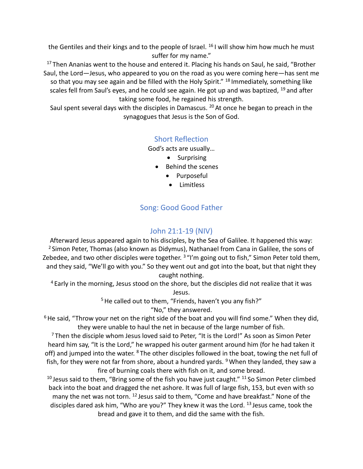the Gentiles and their kings and to the people of Israel.  $^{16}$  I will show him how much he must suffer for my name."

<sup>17</sup> Then Ananias went to the house and entered it. Placing his hands on Saul, he said, "Brother Saul, the Lord—Jesus, who appeared to you on the road as you were coming here—has sent me so that you may see again and be filled with the Holy Spirit." <sup>18</sup> Immediately, something like scales fell from Saul's eyes, and he could see again. He got up and was baptized,  $^{19}$  and after taking some food, he regained his strength.

Saul spent several days with the disciples in Damascus.  $^{20}$  At once he began to preach in the synagogues that Jesus is the Son of God.

### Short Reflection

God's acts are usually…

- Surprising
- Behind the scenes
	- Purposeful
	- Limitless

## Song: Good Good Father

### John 21:1-19 (NIV)

Afterward Jesus appeared again to his disciples, by the Sea of Galilee. It happened this way:  $<sup>2</sup>$  Simon Peter, Thomas (also known as Didymus), Nathanael from Cana in Galilee, the sons of</sup> Zebedee, and two other disciples were together. <sup>3</sup> "I'm going out to fish," Simon Peter told them, and they said, "We'll go with you." So they went out and got into the boat, but that night they caught nothing.

<sup>4</sup> Early in the morning, Jesus stood on the shore, but the disciples did not realize that it was Jesus.

<sup>5</sup> He called out to them, "Friends, haven't you any fish?"

"No," they answered.

 $6$  He said, "Throw your net on the right side of the boat and you will find some." When they did, they were unable to haul the net in because of the large number of fish.

 $7$ Then the disciple whom Jesus loved said to Peter, "It is the Lord!" As soon as Simon Peter heard him say, "It is the Lord," he wrapped his outer garment around him (for he had taken it off) and jumped into the water. <sup>8</sup> The other disciples followed in the boat, towing the net full of fish, for they were not far from shore, about a hundred yards.  $9$  When they landed, they saw a fire of burning coals there with fish on it, and some bread.

 $10$  Jesus said to them, "Bring some of the fish you have just caught."  $11$  So Simon Peter climbed back into the boat and dragged the net ashore. It was full of large fish, 153, but even with so many the net was not torn. <sup>12</sup> Jesus said to them, "Come and have breakfast." None of the disciples dared ask him, "Who are you?" They knew it was the Lord. <sup>13</sup> Jesus came, took the bread and gave it to them, and did the same with the fish.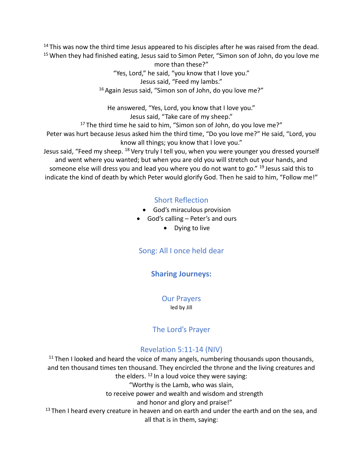$14$  This was now the third time Jesus appeared to his disciples after he was raised from the dead. <sup>15</sup> When they had finished eating, Jesus said to Simon Peter, "Simon son of John, do you love me

> more than these?" "Yes, Lord," he said, "you know that I love you." Jesus said, "Feed my lambs." <sup>16</sup> Again Jesus said, "Simon son of John, do you love me?"

He answered, "Yes, Lord, you know that I love you." Jesus said, "Take care of my sheep." <sup>17</sup> The third time he said to him, "Simon son of John, do you love me?"

Peter was hurt because Jesus asked him the third time, "Do you love me?" He said, "Lord, you know all things; you know that I love you."

Jesus said, "Feed my sheep. <sup>18</sup> Very truly I tell you, when you were younger you dressed yourself and went where you wanted; but when you are old you will stretch out your hands, and someone else will dress you and lead you where you do not want to go." <sup>19</sup> Jesus said this to indicate the kind of death by which Peter would glorify God. Then he said to him, "Follow me!"

# Short Reflection

- God's miraculous provision
- God's calling Peter's and ours
	- Dying to live

# Song: All I once held dear

## **Sharing Journeys:**

Our Prayers led by Jill

# The Lord's Prayer

## Revelation 5:11-14 (NIV)

 $11$  Then I looked and heard the voice of many angels, numbering thousands upon thousands, and ten thousand times ten thousand. They encircled the throne and the living creatures and the elders.  $12 \ln a$  loud voice they were saying: "Worthy is the Lamb, who was slain, to receive power and wealth and wisdom and strength and honor and glory and praise!"  $13$  Then I heard every creature in heaven and on earth and under the earth and on the sea, and all that is in them, saying: